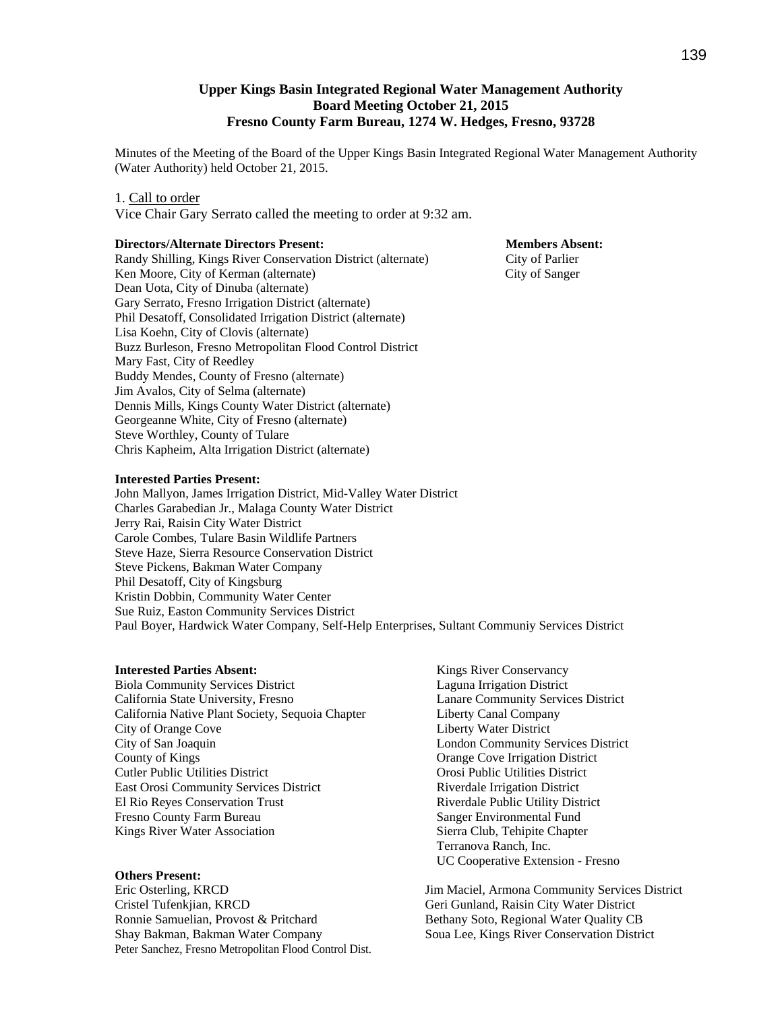### **Upper Kings Basin Integrated Regional Water Management Authority Board Meeting October 21, 2015 Fresno County Farm Bureau, 1274 W. Hedges, Fresno, 93728**

Minutes of the Meeting of the Board of the Upper Kings Basin Integrated Regional Water Management Authority (Water Authority) held October 21, 2015.

#### 1. Call to order

Vice Chair Gary Serrato called the meeting to order at 9:32 am.

#### **Directors/Alternate Directors Present: Members Absent: Members Absent:**

Randy Shilling, Kings River Conservation District (alternate) City of Parlier Ken Moore, City of Kerman (alternate) City of Sanger Dean Uota, City of Dinuba (alternate) Gary Serrato, Fresno Irrigation District (alternate) Phil Desatoff, Consolidated Irrigation District (alternate) Lisa Koehn, City of Clovis (alternate) Buzz Burleson, Fresno Metropolitan Flood Control District Mary Fast, City of Reedley Buddy Mendes, County of Fresno (alternate) Jim Avalos, City of Selma (alternate) Dennis Mills, Kings County Water District (alternate) Georgeanne White, City of Fresno (alternate) Steve Worthley, County of Tulare Chris Kapheim, Alta Irrigation District (alternate)

#### **Interested Parties Present:**

John Mallyon, James Irrigation District, Mid-Valley Water District Charles Garabedian Jr., Malaga County Water District Jerry Rai, Raisin City Water District Carole Combes, Tulare Basin Wildlife Partners Steve Haze, Sierra Resource Conservation District Steve Pickens, Bakman Water Company Phil Desatoff, City of Kingsburg Kristin Dobbin, Community Water Center Sue Ruiz, Easton Community Services District Paul Boyer, Hardwick Water Company, Self-Help Enterprises, Sultant Communiy Services District

#### **Interested Parties Absent:**

Biola Community Services District California State University, Fresno California Native Plant Society, Sequoia Chapter City of Orange Cove City of San Joaquin County of Kings Cutler Public Utilities District East Orosi Community Services District El Rio Reyes Conservation Trust Fresno County Farm Bureau Kings River Water Association

#### **Others Present:**

Eric Osterling, KRCD Cristel Tufenkjian, KRCD Ronnie Samuelian, Provost & Pritchard Shay Bakman, Bakman Water Company Peter Sanchez, Fresno Metropolitan Flood Control Dist.

Kings River Conservancy Laguna Irrigation District Lanare Community Services District Liberty Canal Company Liberty Water District London Community Services District Orange Cove Irrigation District Orosi Public Utilities District Riverdale Irrigation District Riverdale Public Utility District Sanger Environmental Fund Sierra Club, Tehipite Chapter Terranova Ranch, Inc. UC Cooperative Extension - Fresno

Jim Maciel, Armona Community Services District Geri Gunland, Raisin City Water District Bethany Soto, Regional Water Quality CB Soua Lee, Kings River Conservation District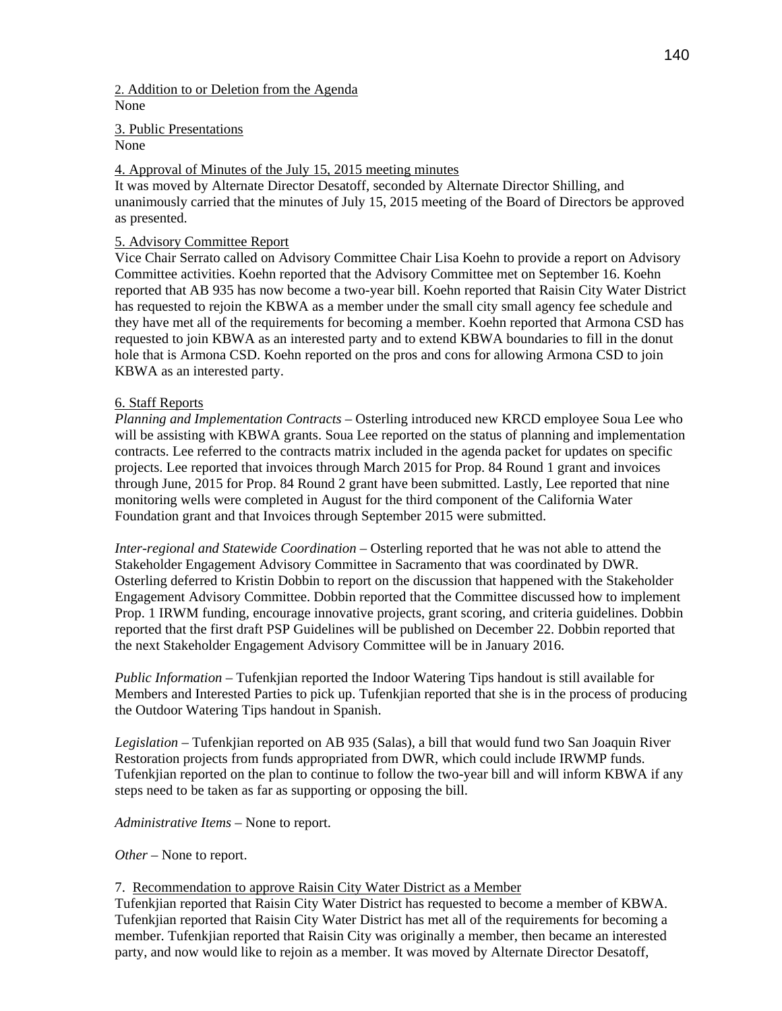2. Addition to or Deletion from the Agenda None

3. Public Presentations

## None

# 4. Approval of Minutes of the July 15, 2015 meeting minutes

It was moved by Alternate Director Desatoff, seconded by Alternate Director Shilling, and unanimously carried that the minutes of July 15, 2015 meeting of the Board of Directors be approved as presented.

## 5. Advisory Committee Report

Vice Chair Serrato called on Advisory Committee Chair Lisa Koehn to provide a report on Advisory Committee activities. Koehn reported that the Advisory Committee met on September 16. Koehn reported that AB 935 has now become a two-year bill. Koehn reported that Raisin City Water District has requested to rejoin the KBWA as a member under the small city small agency fee schedule and they have met all of the requirements for becoming a member. Koehn reported that Armona CSD has requested to join KBWA as an interested party and to extend KBWA boundaries to fill in the donut hole that is Armona CSD. Koehn reported on the pros and cons for allowing Armona CSD to join KBWA as an interested party.

## 6. Staff Reports

*Planning and Implementation Contracts* – Osterling introduced new KRCD employee Soua Lee who will be assisting with KBWA grants. Soua Lee reported on the status of planning and implementation contracts. Lee referred to the contracts matrix included in the agenda packet for updates on specific projects. Lee reported that invoices through March 2015 for Prop. 84 Round 1 grant and invoices through June, 2015 for Prop. 84 Round 2 grant have been submitted. Lastly, Lee reported that nine monitoring wells were completed in August for the third component of the California Water Foundation grant and that Invoices through September 2015 were submitted.

*Inter-regional and Statewide Coordination* – Osterling reported that he was not able to attend the Stakeholder Engagement Advisory Committee in Sacramento that was coordinated by DWR. Osterling deferred to Kristin Dobbin to report on the discussion that happened with the Stakeholder Engagement Advisory Committee. Dobbin reported that the Committee discussed how to implement Prop. 1 IRWM funding, encourage innovative projects, grant scoring, and criteria guidelines. Dobbin reported that the first draft PSP Guidelines will be published on December 22. Dobbin reported that the next Stakeholder Engagement Advisory Committee will be in January 2016.

*Public Information* – Tufenkjian reported the Indoor Watering Tips handout is still available for Members and Interested Parties to pick up. Tufenkjian reported that she is in the process of producing the Outdoor Watering Tips handout in Spanish.

*Legislation –* Tufenkjian reported on AB 935 (Salas), a bill that would fund two San Joaquin River Restoration projects from funds appropriated from DWR, which could include IRWMP funds. Tufenkjian reported on the plan to continue to follow the two-year bill and will inform KBWA if any steps need to be taken as far as supporting or opposing the bill.

*Administrative Items –* None to report.

*Other* – None to report.

# 7. Recommendation to approve Raisin City Water District as a Member

Tufenkjian reported that Raisin City Water District has requested to become a member of KBWA. Tufenkjian reported that Raisin City Water District has met all of the requirements for becoming a member. Tufenkjian reported that Raisin City was originally a member, then became an interested party, and now would like to rejoin as a member. It was moved by Alternate Director Desatoff,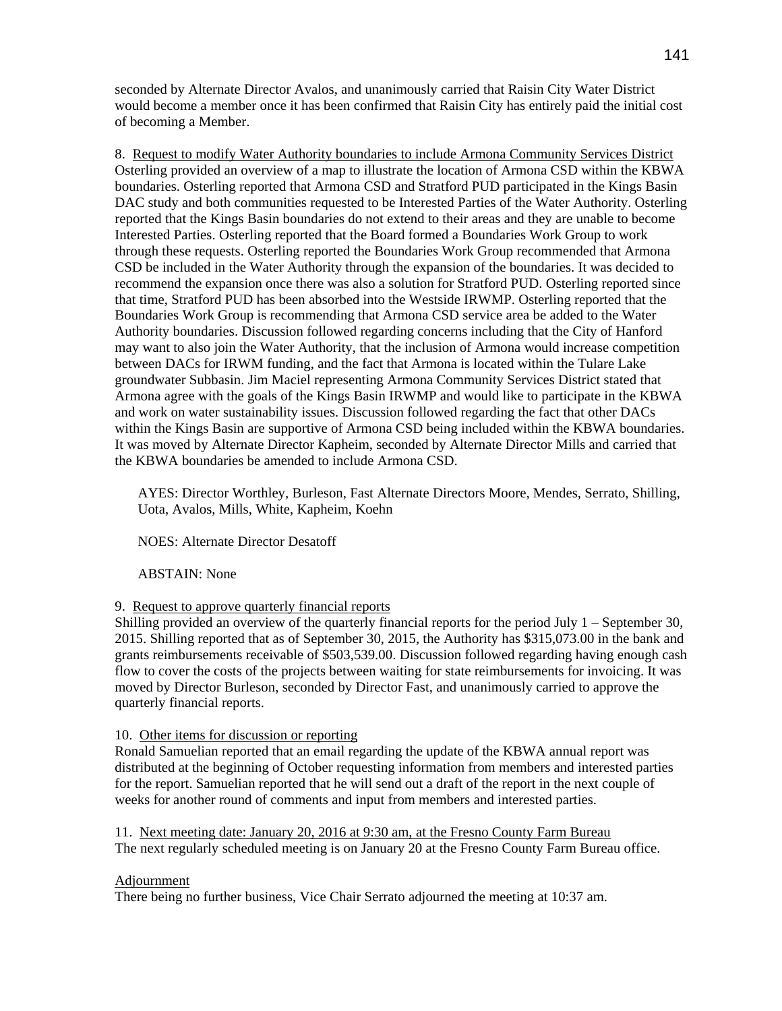seconded by Alternate Director Avalos, and unanimously carried that Raisin City Water District would become a member once it has been confirmed that Raisin City has entirely paid the initial cost of becoming a Member.

8. Request to modify Water Authority boundaries to include Armona Community Services District Osterling provided an overview of a map to illustrate the location of Armona CSD within the KBWA boundaries. Osterling reported that Armona CSD and Stratford PUD participated in the Kings Basin DAC study and both communities requested to be Interested Parties of the Water Authority. Osterling reported that the Kings Basin boundaries do not extend to their areas and they are unable to become Interested Parties. Osterling reported that the Board formed a Boundaries Work Group to work through these requests. Osterling reported the Boundaries Work Group recommended that Armona CSD be included in the Water Authority through the expansion of the boundaries. It was decided to recommend the expansion once there was also a solution for Stratford PUD. Osterling reported since that time, Stratford PUD has been absorbed into the Westside IRWMP. Osterling reported that the Boundaries Work Group is recommending that Armona CSD service area be added to the Water Authority boundaries. Discussion followed regarding concerns including that the City of Hanford may want to also join the Water Authority, that the inclusion of Armona would increase competition between DACs for IRWM funding, and the fact that Armona is located within the Tulare Lake groundwater Subbasin. Jim Maciel representing Armona Community Services District stated that Armona agree with the goals of the Kings Basin IRWMP and would like to participate in the KBWA and work on water sustainability issues. Discussion followed regarding the fact that other DACs within the Kings Basin are supportive of Armona CSD being included within the KBWA boundaries. It was moved by Alternate Director Kapheim, seconded by Alternate Director Mills and carried that the KBWA boundaries be amended to include Armona CSD.

AYES: Director Worthley, Burleson, Fast Alternate Directors Moore, Mendes, Serrato, Shilling, Uota, Avalos, Mills, White, Kapheim, Koehn

NOES: Alternate Director Desatoff

ABSTAIN: None

### 9. Request to approve quarterly financial reports

Shilling provided an overview of the quarterly financial reports for the period July 1 – September 30, 2015. Shilling reported that as of September 30, 2015, the Authority has \$315,073.00 in the bank and grants reimbursements receivable of \$503,539.00. Discussion followed regarding having enough cash flow to cover the costs of the projects between waiting for state reimbursements for invoicing. It was moved by Director Burleson, seconded by Director Fast, and unanimously carried to approve the quarterly financial reports.

### 10. Other items for discussion or reporting

Ronald Samuelian reported that an email regarding the update of the KBWA annual report was distributed at the beginning of October requesting information from members and interested parties for the report. Samuelian reported that he will send out a draft of the report in the next couple of weeks for another round of comments and input from members and interested parties.

11. Next meeting date: January 20, 2016 at 9:30 am, at the Fresno County Farm Bureau The next regularly scheduled meeting is on January 20 at the Fresno County Farm Bureau office.

### Adjournment

There being no further business, Vice Chair Serrato adjourned the meeting at 10:37 am.